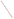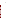## **AGENCY:** ENVIRONMENTAL PROTECTION AGENCY (EPA)

**TITLE:** Tribal Community: Reducing Toxic Air Pollutants Project (RFA)

**ACTION**: RFA - Amendment No. 01

**RFA NO.:** OAR/ORIA/05-07

## **CATALOG OF FEDERAL DOMESTIC ASSISTANCE (CFDA) NO.: 66.034**

**SUMMARY**: This notice is issued to correct the address shown in Sections IV. Other Submission Requirements, and VII. Agency Contact(s). In addition, the last sentence under VII. Agency Contact(s) is deleted in its entirety.

## **Accordingly**,

1. Section IV, Other Submission Requirements is hereby amended to change the address as follows:

US EPA Attn: Shelley Blake Office of Radiation and Indoor Air Indoor Environments Division (Mail Code 6609J) "Tribal Community: Reducing Toxic Air Pollutants Project RFA" 1310 L Street, NW, Room 413J Washington, DC 20005 Phone: (202) 343-9819

NOTE: The street number is corrected to read: 1310 in lieu of 1301 as previously shown.

2. Section VII. AGENCY CONTACT(S) is hereby amended to change the address as follows:

## US EPA

Attn: Shelley Blake Office of Radiation and Indoor Air Indoor Environments Division (Mail Code 6609J) "Tribal Community: Reducing Toxic Air Pollutants Project RFA" 1310 L Street, NW, Room 413J Washington, DC 20005 Phone: (202) 343-9819

NOTE: The street number is corrected to read: 1310 in lieu of 1301 as previously shown.